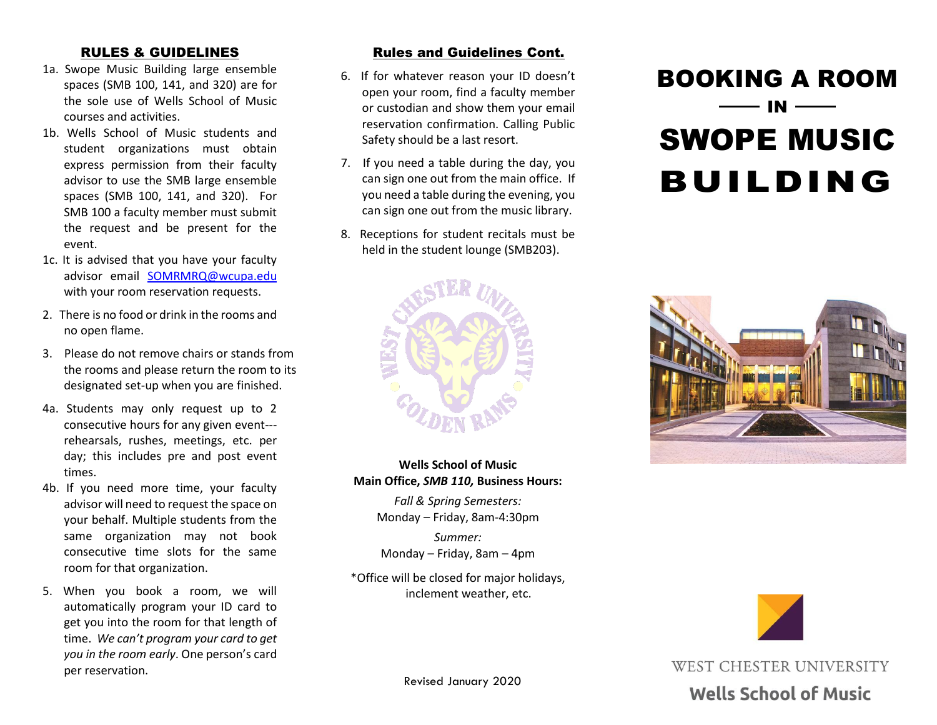- 1a. Swope Music Building large ensemble spaces (SMB 100, 141, and 320) are for the sole use of Wells School of Music courses and activities.
- 1b. Wells School of Music students and student organizations must obtain express permission from their faculty advisor to use the SMB large ensemble spaces (SMB 100, 141, and 320). For SMB 100 a faculty member must submit the request and be present for the event.
- 1c. It is advised that you have your faculty advisor email [SOMRMRQ@wcupa.edu](mailto:SOMRMRQ@wcupa.edu) with your room reservation requests.
- 2. There is no food or drink in the rooms and no open flame.
- 3. Please do not remove chairs or stands from the rooms and please return the room to its designated set-up when you are finished.
- 4a. Students may only request up to 2 consecutive hours for any given event-- rehearsals, rushes, meetings, etc. per day; this includes pre and post event times.
- 4b. If you need more time, your faculty advisor will need to request the space on your behalf. Multiple students from the same organization may not book consecutive time slots for the same room for that organization.
- 5. When you book a room, we will automatically program your ID card to get you into the room for that length of time. *We can't program your card to get you in the room early*. One person's card per reservation.

### RULES & GUIDELINES **Rules and Guidelines Cont.**

- 6. If for whatever reason your ID doesn't open your room, find a faculty member or custodian and show them your email reservation confirmation. Calling Public Safety should be a last resort.
- 7. If you need a table during the day, you can sign one out from the main office. If you need a table during the evening, you can sign one out from the music library.
- 8. Receptions for student recitals must be held in the student lounge (SMB203).



**Wells School of Music Main Office,** *SMB 110,* **Business Hours:**

> *Fall & Spring Semesters:* Monday – Friday, 8am-4:30pm

*Summer:* Monday – Friday, 8am – 4pm

\*Office will be closed for major holidays, inclement weather, etc.

# BOOKING A ROOM IN SWOPE MUSIC BUILDING





WEST CHESTER UNIVERSITY

## **Wells School of Music**

Revised January 2020